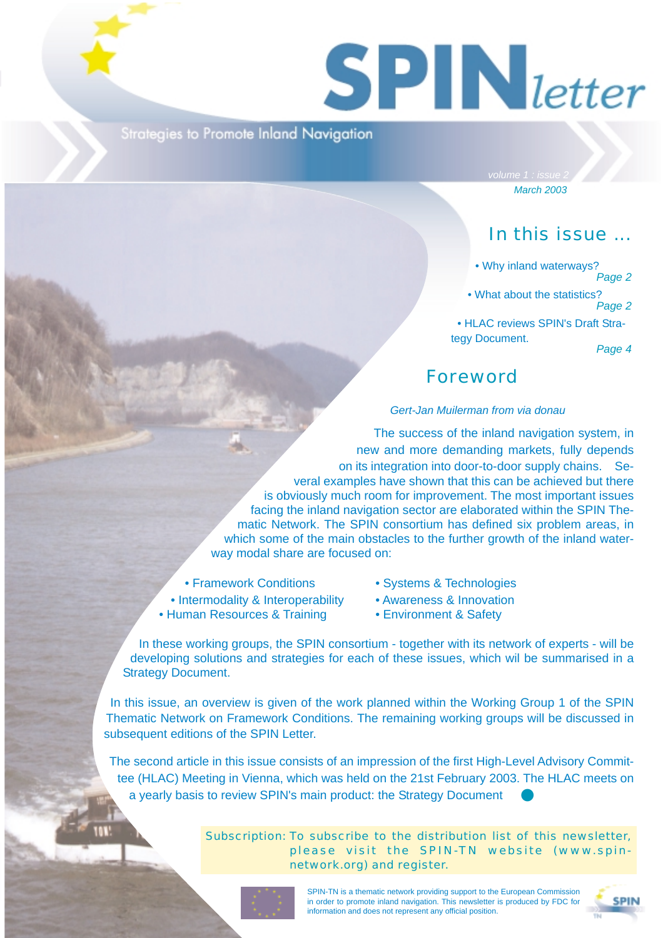# $S$  **PIN** letter

**Strategies to Promote Inland Navigation** 

*March 2003*

# In this issue ...

• Why inland waterways?

*Page 2*

• What about the statistics? *Page 2*

• HLAC reviews SPIN's Draft Strategy Document.

*Page 4*

# Foreword

### *Gert-Jan Muilerman from via donau*

The success of the inland navigation system, in new and more demanding markets, fully depends on its integration into door-to-door supply chains. Several examples have shown that this can be achieved but there is obviously much room for improvement. The most important issues facing the inland navigation sector are elaborated within the SPIN Thematic Network. The SPIN consortium has defined six problem areas, in which some of the main obstacles to the further growth of the inland waterway modal share are focused on:

- 
- Intermodality & Interoperability Awareness & Innovation
- Human Resources & Training Environment & Safety
- Framework Conditions Systems & Technologies
	-
	-

In these working groups, the SPIN consortium - together with its network of experts - will be developing solutions and strategies for each of these issues, which wil be summarised in a Strategy Document.

In this issue, an overview is given of the work planned within the Working Group 1 of the SPIN Thematic Network on Framework Conditions. The remaining working groups will be discussed in subsequent editions of the SPIN Letter.

The second article in this issue consists of an impression of the first High-Level Advisory Committee (HLAC) Meeting in Vienna, which was held on the 21st February 2003. The HLAC meets on a yearly basis to review SPIN's main product: the Strategy Document

> Subscription: To subscribe to the distribution list of this newsletter, please visit the SPIN-TN website (www.spinnetwork.org) and register.



SPIN-TN is a thematic network providing support to the European Commission in order to promote inland navigation. This newsletter is produced by FDC for information and does not represent any official position.

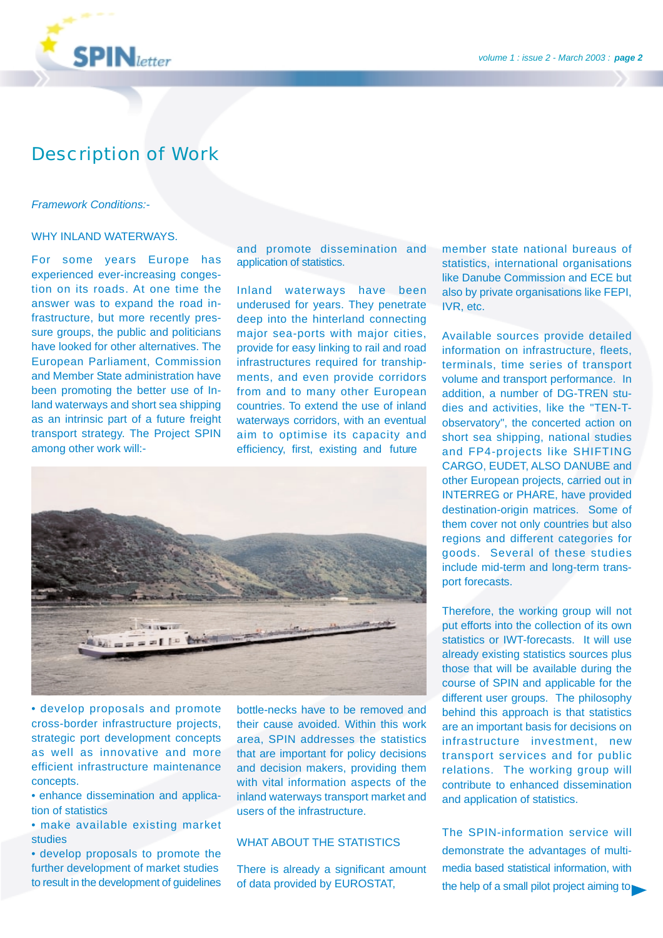

**SPIN**letter

### *Framework Conditions:-*

### WHY INLAND WATERWAYS.

For some years Europe has experienced ever-increasing congestion on its roads. At one time the answer was to expand the road infrastructure, but more recently pressure groups, the public and politicians have looked for other alternatives. The European Parliament, Commission and Member State administration have been promoting the better use of Inland waterways and short sea shipping as an intrinsic part of a future freight transport strategy. The Project SPIN among other work will:-

and promote dissemination and application of statistics.

Inland waterways have been underused for years. They penetrate deep into the hinterland connecting major sea-ports with major cities, provide for easy linking to rail and road infrastructures required for transhipments, and even provide corridors from and to many other European countries. To extend the use of inland waterways corridors, with an eventual aim to optimise its capacity and efficiency, first, existing and future



• develop proposals and promote cross-border infrastructure projects, strategic port development concepts as well as innovative and more efficient infrastructure maintenance concepts.

• enhance dissemination and application of statistics

• make available existing market studies

• develop proposals to promote the further development of market studies to result in the development of guidelines bottle-necks have to be removed and their cause avoided. Within this work area, SPIN addresses the statistics that are important for policy decisions and decision makers, providing them with vital information aspects of the inland waterways transport market and users of the infrastructure.

### WHAT ABOUT THE STATISTICS

There is already a significant amount of data provided by EUROSTAT,

member state national bureaus of statistics, international organisations like Danube Commission and ECE but also by private organisations like FEPI, IVR, etc.

Available sources provide detailed information on infrastructure, fleets, terminals, time series of transport volume and transport performance. In addition, a number of DG-TREN studies and activities, like the "TEN-Tobservatory", the concerted action on short sea shipping, national studies and FP4-projects like SHIFTING CARGO, EUDET, ALSO DANUBE and other European projects, carried out in INTERREG or PHARE, have provided destination-origin matrices. Some of them cover not only countries but also regions and different categories for goods. Several of these studies include mid-term and long-term transport forecasts.

Therefore, the working group will not put efforts into the collection of its own statistics or IWT-forecasts. It will use already existing statistics sources plus those that will be available during the course of SPIN and applicable for the different user groups. The philosophy behind this approach is that statistics are an important basis for decisions on infrastructure investment, new transport services and for public relations. The working group will contribute to enhanced dissemination and application of statistics.

The SPIN-information service will demonstrate the advantages of multimedia based statistical information, with the help of a small pilot project aiming to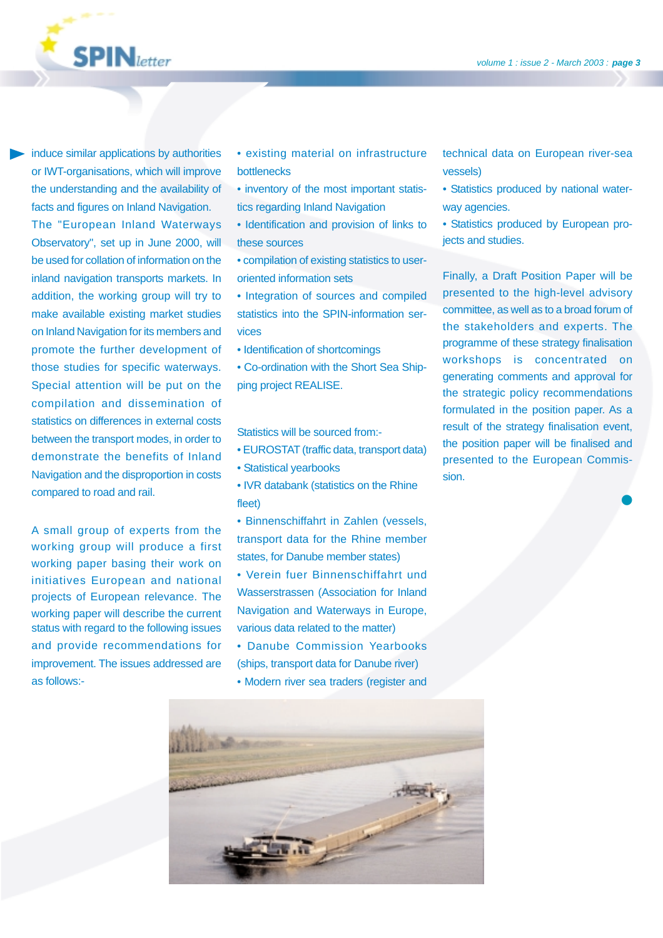induce similar applications by authorities or IWT-organisations, which will improve the understanding and the availability of facts and figures on Inland Navigation. The "European Inland Waterways Observatory", set up in June 2000, will be used for collation of information on the inland navigation transports markets. In addition, the working group will try to make available existing market studies on Inland Navigation for its members and promote the further development of those studies for specific waterways. Special attention will be put on the compilation and dissemination of statistics on differences in external costs between the transport modes, in order to demonstrate the benefits of Inland Navigation and the disproportion in costs compared to road and rail.

**SPIN**letter

A small group of experts from the working group will produce a first working paper basing their work on initiatives European and national projects of European relevance. The working paper will describe the current status with regard to the following issues and provide recommendations for improvement. The issues addressed are as follows:-

- existing material on infrastructure bottlenecks
- inventory of the most important statistics regarding Inland Navigation
- Identification and provision of links to these sources
- compilation of existing statistics to useroriented information sets
- Integration of sources and compiled statistics into the SPIN-information services
- Identification of shortcomings
- Co-ordination with the Short Sea Shipping project REALISE.

Statistics will be sourced from:-

- EUROSTAT (traffic data, transport data)
- Statistical yearbooks
- IVR databank (statistics on the Rhine fleet)
- Binnenschiffahrt in Zahlen (vessels, transport data for the Rhine member states, for Danube member states)
- Verein fuer Binnenschiffahrt und Wasserstrassen (Association for Inland Navigation and Waterways in Europe, various data related to the matter)
- Danube Commission Yearbooks (ships, transport data for Danube river)
- 
- Modern river sea traders (register and

technical data on European river-sea vessels)

- Statistics produced by national waterway agencies.
- Statistics produced by European projects and studies.

Finally, a Draft Position Paper will be presented to the high-level advisory committee, as well as to a broad forum of the stakeholders and experts. The programme of these strategy finalisation workshops is concentrated on generating comments and approval for the strategic policy recommendations formulated in the position paper. As a result of the strategy finalisation event, the position paper will be finalised and presented to the European Commission.

❶

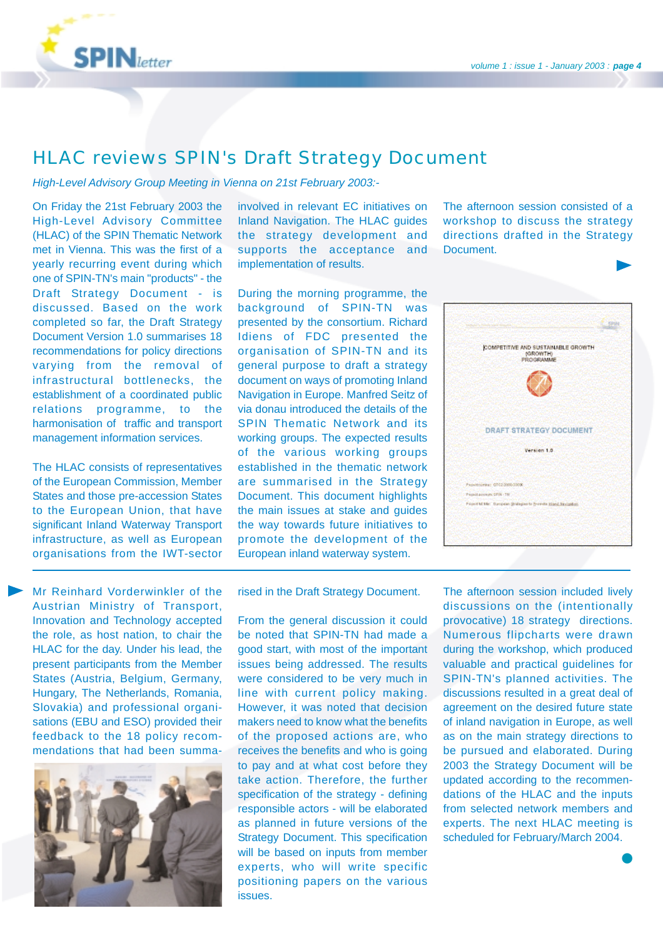

## HLAC reviews SPIN's Draft Strategy Document

*High-Level Advisory Group Meeting in Vienna on 21st February 2003:-*

On Friday the 21st February 2003 the High-Level Advisory Committee (HLAC) of the SPIN Thematic Network met in Vienna. This was the first of a yearly recurring event during which one of SPIN-TN's main "products" - the Draft Strategy Document - is discussed. Based on the work completed so far, the Draft Strategy Document Version 1.0 summarises 18 recommendations for policy directions varying from the removal of infrastructural bottlenecks, the establishment of a coordinated public relations programme, to the harmonisation of traffic and transport management information services.

The HLAC consists of representatives of the European Commission, Member States and those pre-accession States to the European Union, that have significant Inland Waterway Transport infrastructure, as well as European organisations from the IWT-sector

Mr Reinhard Vorderwinkler of the Austrian Ministry of Transport, Innovation and Technology accepted the role, as host nation, to chair the HLAC for the day. Under his lead, the present participants from the Member States (Austria, Belgium, Germany, Hungary, The Netherlands, Romania, Slovakia) and professional organisations (EBU and ESO) provided their feedback to the 18 policy recommendations that had been summa-



involved in relevant EC initiatives on Inland Navigation. The HLAC guides the strategy development and supports the acceptance and implementation of results.

During the morning programme, the background of SPIN-TN was presented by the consortium. Richard Idiens of FDC presented the organisation of SPIN-TN and its general purpose to draft a strategy document on ways of promoting Inland Navigation in Europe. Manfred Seitz of via donau introduced the details of the SPIN Thematic Network and its working groups. The expected results of the various working groups established in the thematic network are summarised in the Strategy Document. This document highlights the main issues at stake and guides the way towards future initiatives to promote the development of the European inland waterway system.

The afternoon session consisted of a workshop to discuss the strategy directions drafted in the Strategy Document.



rised in the Draft Strategy Document.

From the general discussion it could be noted that SPIN-TN had made a good start, with most of the important issues being addressed. The results were considered to be very much in line with current policy making. However, it was noted that decision makers need to know what the benefits of the proposed actions are, who receives the benefits and who is going to pay and at what cost before they take action. Therefore, the further specification of the strategy - defining responsible actors - will be elaborated as planned in future versions of the Strategy Document. This specification will be based on inputs from member experts, who will write specific positioning papers on the various issues.

The afternoon session included lively discussions on the (intentionally provocative) 18 strategy directions. Numerous flipcharts were drawn during the workshop, which produced valuable and practical guidelines for SPIN-TN's planned activities. The discussions resulted in a great deal of agreement on the desired future state of inland navigation in Europe, as well as on the main strategy directions to be pursued and elaborated. During 2003 the Strategy Document will be updated according to the recommendations of the HLAC and the inputs from selected network members and experts. The next HLAC meeting is scheduled for February/March 2004.

❶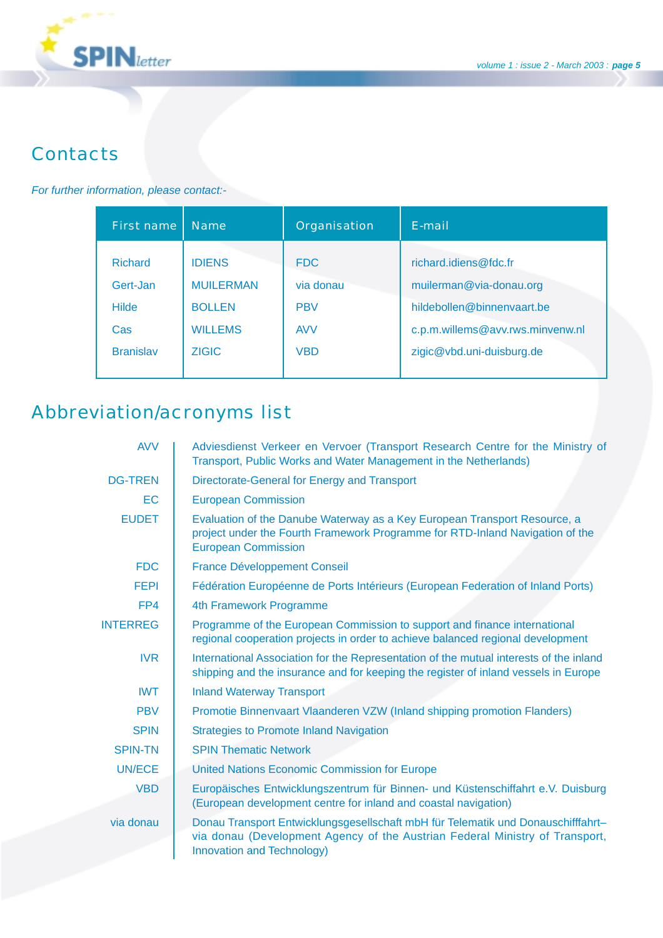

# **Contacts**

### *For further information, please contact:-*

| First name                                        | <b>Name</b>                                                          | Organisation                                        | F-mail                                                                                                             |
|---------------------------------------------------|----------------------------------------------------------------------|-----------------------------------------------------|--------------------------------------------------------------------------------------------------------------------|
| <b>Richard</b><br>Gert-Jan<br><b>Hilde</b><br>Cas | <b>IDIENS</b><br><b>MUILERMAN</b><br><b>BOLLEN</b><br><b>WILLEMS</b> | <b>FDC</b><br>via donau<br><b>PBV</b><br><b>AVV</b> | richard.idiens@fdc.fr<br>muilerman@via-donau.org<br>hildebollen@binnenvaart.be<br>c.p.m.willems@avv.rws.minvenw.nl |
| <b>Branislav</b>                                  | <b>ZIGIC</b>                                                         | <b>VBD</b>                                          | zigic@vbd.uni-duisburg.de                                                                                          |

# Abbreviation/acronyms list

| <b>AVV</b>      | Adviesdienst Verkeer en Vervoer (Transport Research Centre for the Ministry of<br>Transport, Public Works and Water Management in the Netherlands)                                             |  |  |
|-----------------|------------------------------------------------------------------------------------------------------------------------------------------------------------------------------------------------|--|--|
| <b>DG-TREN</b>  | Directorate-General for Energy and Transport                                                                                                                                                   |  |  |
| EC              | <b>European Commission</b>                                                                                                                                                                     |  |  |
| <b>EUDET</b>    | Evaluation of the Danube Waterway as a Key European Transport Resource, a<br>project under the Fourth Framework Programme for RTD-Inland Navigation of the<br><b>European Commission</b>       |  |  |
| <b>FDC</b>      | <b>France Développement Conseil</b>                                                                                                                                                            |  |  |
| <b>FEPI</b>     | Fédération Européenne de Ports Intérieurs (European Federation of Inland Ports)                                                                                                                |  |  |
| FP4             | 4th Framework Programme                                                                                                                                                                        |  |  |
| <b>INTERREG</b> | Programme of the European Commission to support and finance international<br>regional cooperation projects in order to achieve balanced regional development                                   |  |  |
| <b>IVR</b>      | International Association for the Representation of the mutual interests of the inland<br>shipping and the insurance and for keeping the register of inland vessels in Europe                  |  |  |
| <b>IWT</b>      | <b>Inland Waterway Transport</b>                                                                                                                                                               |  |  |
| <b>PBV</b>      | Promotie Binnenvaart Vlaanderen VZW (Inland shipping promotion Flanders)                                                                                                                       |  |  |
| <b>SPIN</b>     | <b>Strategies to Promote Inland Navigation</b>                                                                                                                                                 |  |  |
| <b>SPIN-TN</b>  | <b>SPIN Thematic Network</b>                                                                                                                                                                   |  |  |
| <b>UN/ECE</b>   | <b>United Nations Economic Commission for Europe</b>                                                                                                                                           |  |  |
| <b>VBD</b>      | Europäisches Entwicklungszentrum für Binnen- und Küstenschiffahrt e.V. Duisburg<br>(European development centre for inland and coastal navigation)                                             |  |  |
| via donau       | Donau Transport Entwicklungsgesellschaft mbH für Telematik und Donauschifffahrt-<br>via donau (Development Agency of the Austrian Federal Ministry of Transport,<br>Innovation and Technology) |  |  |